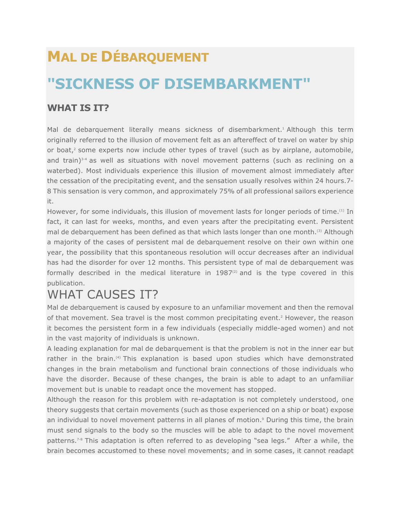# **MAL DE DÉBARQUEMENT "SICKNESS OF DISEMBARKMENT"**

#### **WHAT IS IT?**

Mal de debarquement literally means sickness of disembarkment.<sup>1</sup> Although this term originally referred to the illusion of movement felt as an aftereffect of travel on water by ship or boat, $2$  some experts now include other types of travel (such as by airplane, automobile, and train) $3-4$  as well as situations with novel movement patterns (such as reclining on a waterbed). Most individuals experience this illusion of movement almost immediately after the cessation of the precipitating event, and the sensation usually resolves within 24 hours.7- 8 This sensation is very common, and approximately 75% of all professional sailors experience it.

However, for some individuals, this illusion of movement lasts for longer periods of time.<sup>(1)</sup> In fact, it can last for weeks, months, and even years after the precipitating event. Persistent mal de debarquement has been defined as that which lasts longer than one month.<sup>(3)</sup> Although a majority of the cases of persistent mal de debarquement resolve on their own within one year, the possibility that this spontaneous resolution will occur decreases after an individual has had the disorder for over 12 months. This persistent type of mal de debarquement was formally described in the medical literature in  $1987<sup>(2)</sup>$  and is the type covered in this publication.

## WHAT CAUSES IT?

Mal de debarquement is caused by exposure to an unfamiliar movement and then the removal of that movement. Sea travel is the most common precipitating event.2 However, the reason it becomes the persistent form in a few individuals (especially middle-aged women) and not in the vast majority of individuals is unknown.

A leading explanation for mal de debarquement is that the problem is not in the inner ear but rather in the brain.<sup>(4)</sup> This explanation is based upon studies which have demonstrated changes in the brain metabolism and functional brain connections of those individuals who have the disorder. Because of these changes, the brain is able to adapt to an unfamiliar movement but is unable to readapt once the movement has stopped.

Although the reason for this problem with re-adaptation is not completely understood, one theory suggests that certain movements (such as those experienced on a ship or boat) expose an individual to novel movement patterns in all planes of motion.<sup>9</sup> During this time, the brain must send signals to the body so the muscles will be able to adapt to the novel movement patterns.<sup>7-8</sup> This adaptation is often referred to as developing "sea legs." After a while, the brain becomes accustomed to these novel movements; and in some cases, it cannot readapt